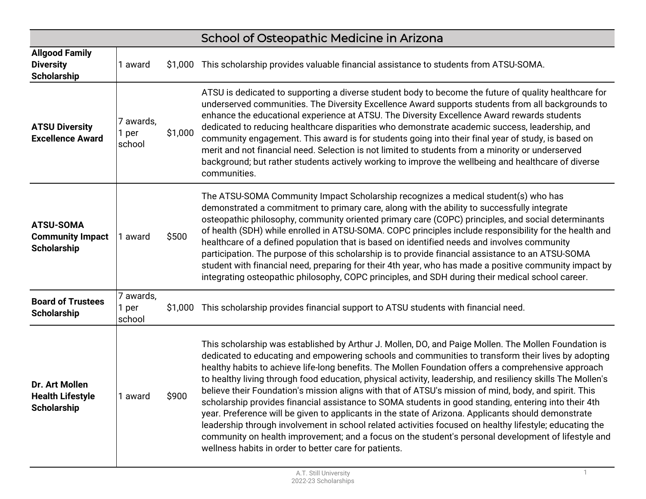|                                                                   |                              |         | School of Osteopathic Medicine in Arizona                                                                                                                                                                                                                                                                                                                                                                                                                                                                                                                                                                                                                                                                                                                                                                                                                                                                                                                                                                                           |
|-------------------------------------------------------------------|------------------------------|---------|-------------------------------------------------------------------------------------------------------------------------------------------------------------------------------------------------------------------------------------------------------------------------------------------------------------------------------------------------------------------------------------------------------------------------------------------------------------------------------------------------------------------------------------------------------------------------------------------------------------------------------------------------------------------------------------------------------------------------------------------------------------------------------------------------------------------------------------------------------------------------------------------------------------------------------------------------------------------------------------------------------------------------------------|
| <b>Allgood Family</b><br><b>Diversity</b><br><b>Scholarship</b>   | 1 award                      | \$1,000 | This scholarship provides valuable financial assistance to students from ATSU-SOMA.                                                                                                                                                                                                                                                                                                                                                                                                                                                                                                                                                                                                                                                                                                                                                                                                                                                                                                                                                 |
| <b>ATSU Diversity</b><br><b>Excellence Award</b>                  | 7 awards,<br>1 per<br>school | \$1,000 | ATSU is dedicated to supporting a diverse student body to become the future of quality healthcare for<br>underserved communities. The Diversity Excellence Award supports students from all backgrounds to<br>enhance the educational experience at ATSU. The Diversity Excellence Award rewards students<br>dedicated to reducing healthcare disparities who demonstrate academic success, leadership, and<br>community engagement. This award is for students going into their final year of study, is based on<br>merit and not financial need. Selection is not limited to students from a minority or underserved<br>background; but rather students actively working to improve the wellbeing and healthcare of diverse<br>communities.                                                                                                                                                                                                                                                                                       |
| <b>ATSU-SOMA</b><br><b>Community Impact</b><br><b>Scholarship</b> | 1 award                      | \$500   | The ATSU-SOMA Community Impact Scholarship recognizes a medical student(s) who has<br>demonstrated a commitment to primary care, along with the ability to successfully integrate<br>osteopathic philosophy, community oriented primary care (COPC) principles, and social determinants<br>of health (SDH) while enrolled in ATSU-SOMA. COPC principles include responsibility for the health and<br>healthcare of a defined population that is based on identified needs and involves community<br>participation. The purpose of this scholarship is to provide financial assistance to an ATSU-SOMA<br>student with financial need, preparing for their 4th year, who has made a positive community impact by<br>integrating osteopathic philosophy, COPC principles, and SDH during their medical school career.                                                                                                                                                                                                                 |
| <b>Board of Trustees</b><br><b>Scholarship</b>                    | 7 awards,<br>1 per<br>school | \$1,000 | This scholarship provides financial support to ATSU students with financial need.                                                                                                                                                                                                                                                                                                                                                                                                                                                                                                                                                                                                                                                                                                                                                                                                                                                                                                                                                   |
| Dr. Art Mollen<br><b>Health Lifestyle</b><br><b>Scholarship</b>   | 1 award                      | \$900   | This scholarship was established by Arthur J. Mollen, DO, and Paige Mollen. The Mollen Foundation is<br>dedicated to educating and empowering schools and communities to transform their lives by adopting<br>healthy habits to achieve life-long benefits. The Mollen Foundation offers a comprehensive approach<br>to healthy living through food education, physical activity, leadership, and resiliency skills The Mollen's<br>believe their Foundation's mission aligns with that of ATSU's mission of mind, body, and spirit. This<br>scholarship provides financial assistance to SOMA students in good standing, entering into their 4th<br>year. Preference will be given to applicants in the state of Arizona. Applicants should demonstrate<br>leadership through involvement in school related activities focused on healthy lifestyle; educating the<br>community on health improvement; and a focus on the student's personal development of lifestyle and<br>wellness habits in order to better care for patients. |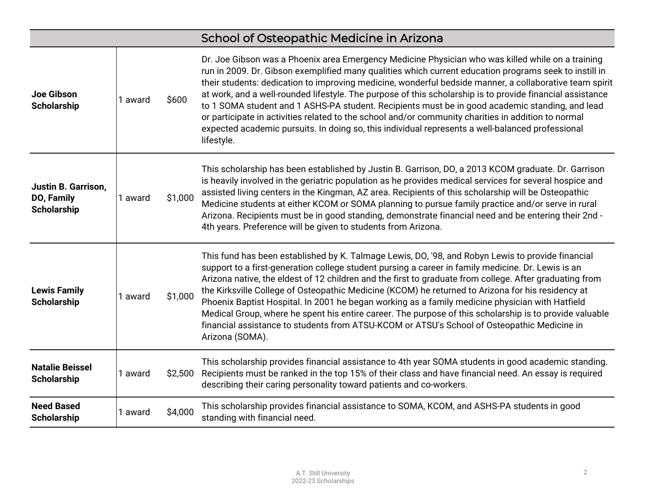|                                                         |         |         | School of Osteopathic Medicine in Arizona                                                                                                                                                                                                                                                                                                                                                                                                                                                                                                                                                                                                                                                                                                                       |
|---------------------------------------------------------|---------|---------|-----------------------------------------------------------------------------------------------------------------------------------------------------------------------------------------------------------------------------------------------------------------------------------------------------------------------------------------------------------------------------------------------------------------------------------------------------------------------------------------------------------------------------------------------------------------------------------------------------------------------------------------------------------------------------------------------------------------------------------------------------------------|
| Joe Gibson<br><b>Scholarship</b>                        | 1 award | \$600   | Dr. Joe Gibson was a Phoenix area Emergency Medicine Physician who was killed while on a training<br>run in 2009. Dr. Gibson exemplified many qualities which current education programs seek to instill in<br>their students: dedication to improving medicine, wonderful bedside manner, a collaborative team spirit<br>at work, and a well-rounded lifestyle. The purpose of this scholarship is to provide financial assistance<br>to 1 SOMA student and 1 ASHS-PA student. Recipients must be in good academic standing, and lead<br>or participate in activities related to the school and/or community charities in addition to normal<br>expected academic pursuits. In doing so, this individual represents a well-balanced professional<br>lifestyle. |
| Justin B. Garrison,<br>DO, Family<br><b>Scholarship</b> | 1 award | \$1,000 | This scholarship has been established by Justin B. Garrison, DO, a 2013 KCOM graduate. Dr. Garrison<br>is heavily involved in the geriatric population as he provides medical services for several hospice and<br>assisted living centers in the Kingman, AZ area. Recipients of this scholarship will be Osteopathic<br>Medicine students at either KCOM or SOMA planning to pursue family practice and/or serve in rural<br>Arizona. Recipients must be in good standing, demonstrate financial need and be entering their 2nd -<br>4th years. Preference will be given to students from Arizona.                                                                                                                                                             |
| <b>Lewis Family</b><br><b>Scholarship</b>               | 1 award | \$1,000 | This fund has been established by K. Talmage Lewis, DO, '98, and Robyn Lewis to provide financial<br>support to a first-generation college student pursing a career in family medicine. Dr. Lewis is an<br>Arizona native, the eldest of 12 children and the first to graduate from college. After graduating from<br>the Kirksville College of Osteopathic Medicine (KCOM) he returned to Arizona for his residency at<br>Phoenix Baptist Hospital. In 2001 he began working as a family medicine physician with Hatfield<br>Medical Group, where he spent his entire career. The purpose of this scholarship is to provide valuable<br>financial assistance to students from ATSU-KCOM or ATSU's School of Osteopathic Medicine in<br>Arizona (SOMA).         |
| <b>Natalie Beissel</b><br><b>Scholarship</b>            | 1 award | \$2,500 | This scholarship provides financial assistance to 4th year SOMA students in good academic standing.<br>Recipients must be ranked in the top 15% of their class and have financial need. An essay is required<br>describing their caring personality toward patients and co-workers.                                                                                                                                                                                                                                                                                                                                                                                                                                                                             |
| <b>Need Based</b><br><b>Scholarship</b>                 | 1 award | \$4,000 | This scholarship provides financial assistance to SOMA, KCOM, and ASHS-PA students in good<br>standing with financial need.                                                                                                                                                                                                                                                                                                                                                                                                                                                                                                                                                                                                                                     |